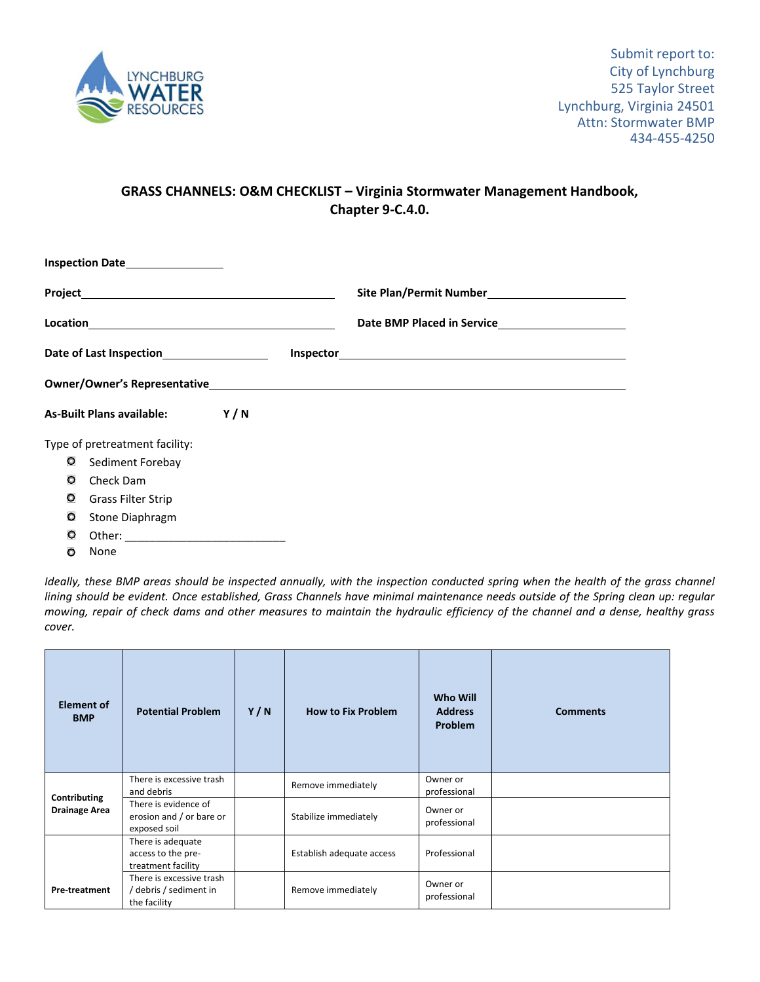

## **GRASS CHANNELS: O&M CHECKLIST – Virginia Stormwater Management Handbook, Chapter 9‐C.4.0.**

|                                             | Inspection Date__________________ |  |  |  |  |  |  |
|---------------------------------------------|-----------------------------------|--|--|--|--|--|--|
|                                             |                                   |  |  |  |  |  |  |
|                                             |                                   |  |  |  |  |  |  |
| Date of Last Inspection____________________ |                                   |  |  |  |  |  |  |
|                                             |                                   |  |  |  |  |  |  |
|                                             | As-Built Plans available: Y / N   |  |  |  |  |  |  |
|                                             | Type of pretreatment facility:    |  |  |  |  |  |  |
| O                                           | Sediment Forebay                  |  |  |  |  |  |  |
| o                                           | Check Dam                         |  |  |  |  |  |  |
| O                                           | <b>Grass Filter Strip</b>         |  |  |  |  |  |  |
| O                                           | Stone Diaphragm                   |  |  |  |  |  |  |
| O                                           |                                   |  |  |  |  |  |  |

**O** None

Ideally, these BMP areas should be inspected annually, with the inspection conducted spring when the health of the grass channel lining should be evident. Once established, Grass Channels have minimal maintenance needs outside of the Spring clean up: regular mowing, repair of check dams and other measures to maintain the hydraulic efficiency of the channel and a dense, healthy grass *cover.*

| <b>Element of</b><br><b>BMP</b> | <b>Potential Problem</b>                                           | Y/N | <b>How to Fix Problem</b> | <b>Who Will</b><br><b>Address</b><br><b>Problem</b> | <b>Comments</b> |
|---------------------------------|--------------------------------------------------------------------|-----|---------------------------|-----------------------------------------------------|-----------------|
| Contributing                    | There is excessive trash<br>and debris                             |     | Remove immediately        | Owner or<br>professional                            |                 |
| <b>Drainage Area</b>            | There is evidence of<br>erosion and / or bare or<br>exposed soil   |     | Stabilize immediately     | Owner or<br>professional                            |                 |
|                                 | There is adequate<br>access to the pre-<br>treatment facility      |     | Establish adequate access | Professional                                        |                 |
| <b>Pre-treatment</b>            | There is excessive trash<br>/ debris / sediment in<br>the facility |     | Remove immediately        | Owner or<br>professional                            |                 |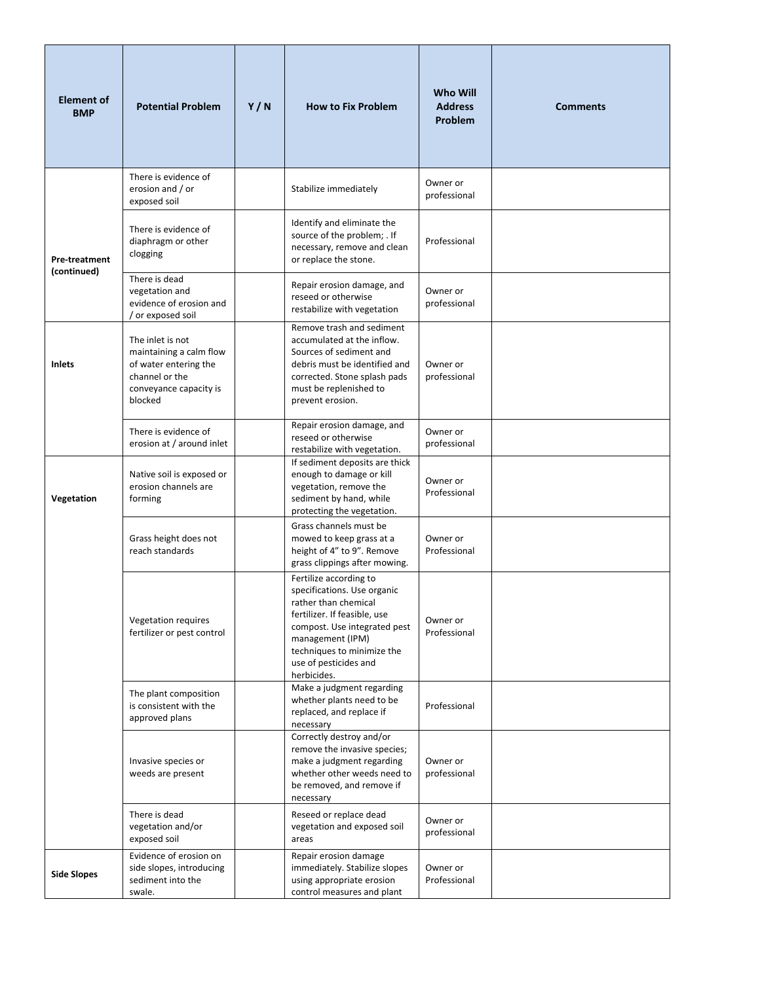| <b>Element of</b><br><b>BMP</b> | <b>Potential Problem</b>                                                                                                    | Y/N | <b>How to Fix Problem</b>                                                                                                                                                                                                               | <b>Who Will</b><br><b>Address</b><br>Problem | <b>Comments</b> |
|---------------------------------|-----------------------------------------------------------------------------------------------------------------------------|-----|-----------------------------------------------------------------------------------------------------------------------------------------------------------------------------------------------------------------------------------------|----------------------------------------------|-----------------|
|                                 | There is evidence of<br>erosion and / or<br>exposed soil                                                                    |     | Stabilize immediately                                                                                                                                                                                                                   | Owner or<br>professional                     |                 |
| Pre-treatment<br>(continued)    | There is evidence of<br>diaphragm or other<br>clogging                                                                      |     | Identify and eliminate the<br>source of the problem; . If<br>necessary, remove and clean<br>or replace the stone.                                                                                                                       | Professional                                 |                 |
|                                 | There is dead<br>vegetation and<br>evidence of erosion and<br>/ or exposed soil                                             |     | Repair erosion damage, and<br>reseed or otherwise<br>restabilize with vegetation                                                                                                                                                        | Owner or<br>professional                     |                 |
| <b>Inlets</b>                   | The inlet is not<br>maintaining a calm flow<br>of water entering the<br>channel or the<br>conveyance capacity is<br>blocked |     | Remove trash and sediment<br>accumulated at the inflow.<br>Sources of sediment and<br>debris must be identified and<br>corrected. Stone splash pads<br>must be replenished to<br>prevent erosion.                                       | Owner or<br>professional                     |                 |
|                                 | There is evidence of<br>erosion at / around inlet                                                                           |     | Repair erosion damage, and<br>reseed or otherwise<br>restabilize with vegetation.                                                                                                                                                       | Owner or<br>professional                     |                 |
| Vegetation                      | Native soil is exposed or<br>erosion channels are<br>forming                                                                |     | If sediment deposits are thick<br>enough to damage or kill<br>vegetation, remove the<br>sediment by hand, while<br>protecting the vegetation.                                                                                           | Owner or<br>Professional                     |                 |
|                                 | Grass height does not<br>reach standards                                                                                    |     | Grass channels must be<br>mowed to keep grass at a<br>height of 4" to 9". Remove<br>grass clippings after mowing.                                                                                                                       | Owner or<br>Professional                     |                 |
|                                 | Vegetation requires<br>fertilizer or pest control                                                                           |     | Fertilize according to<br>specifications. Use organic<br>rather than chemical<br>fertilizer. If feasible, use<br>compost. Use integrated pest<br>management (IPM)<br>techniques to minimize the<br>use of pesticides and<br>herbicides. | Owner or<br>Professional                     |                 |
|                                 | The plant composition<br>is consistent with the<br>approved plans                                                           |     | Make a judgment regarding<br>whether plants need to be<br>replaced, and replace if<br>necessary                                                                                                                                         | Professional                                 |                 |
|                                 | Invasive species or<br>weeds are present                                                                                    |     | Correctly destroy and/or<br>remove the invasive species;<br>make a judgment regarding<br>whether other weeds need to<br>be removed, and remove if<br>necessary                                                                          | Owner or<br>professional                     |                 |
|                                 | There is dead<br>vegetation and/or<br>exposed soil                                                                          |     | Reseed or replace dead<br>vegetation and exposed soil<br>areas                                                                                                                                                                          | Owner or<br>professional                     |                 |
| <b>Side Slopes</b>              | Evidence of erosion on<br>side slopes, introducing<br>sediment into the<br>swale.                                           |     | Repair erosion damage<br>immediately. Stabilize slopes<br>using appropriate erosion<br>control measures and plant                                                                                                                       | Owner or<br>Professional                     |                 |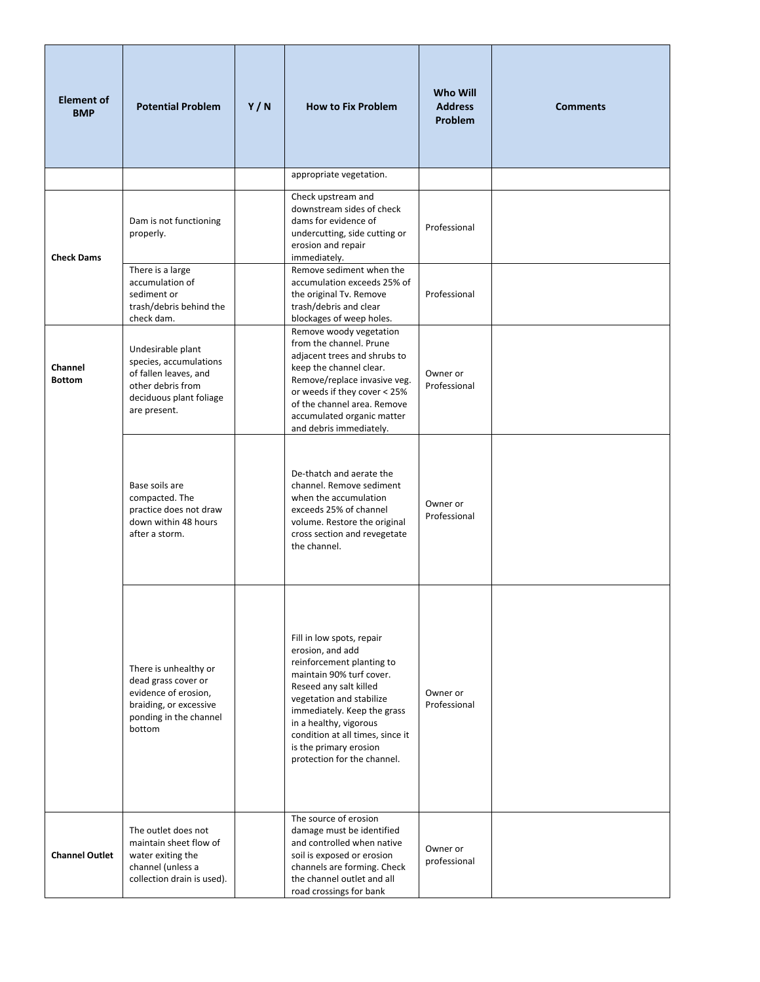| <b>Element of</b><br><b>BMP</b> | <b>Potential Problem</b>                                                                                                             | Y/N | <b>How to Fix Problem</b>                                                                                                                                                                                                                                                                                          | Who Will<br><b>Address</b><br>Problem | <b>Comments</b> |
|---------------------------------|--------------------------------------------------------------------------------------------------------------------------------------|-----|--------------------------------------------------------------------------------------------------------------------------------------------------------------------------------------------------------------------------------------------------------------------------------------------------------------------|---------------------------------------|-----------------|
|                                 |                                                                                                                                      |     | appropriate vegetation.                                                                                                                                                                                                                                                                                            |                                       |                 |
| <b>Check Dams</b>               | Dam is not functioning<br>properly.                                                                                                  |     | Check upstream and<br>downstream sides of check<br>dams for evidence of<br>undercutting, side cutting or<br>erosion and repair<br>immediately.                                                                                                                                                                     | Professional                          |                 |
|                                 | There is a large<br>accumulation of<br>sediment or<br>trash/debris behind the<br>check dam.                                          |     | Remove sediment when the<br>accumulation exceeds 25% of<br>the original Tv. Remove<br>trash/debris and clear<br>blockages of weep holes.                                                                                                                                                                           | Professional                          |                 |
| Channel<br><b>Bottom</b>        | Undesirable plant<br>species, accumulations<br>of fallen leaves, and<br>other debris from<br>deciduous plant foliage<br>are present. |     | Remove woody vegetation<br>from the channel. Prune<br>adjacent trees and shrubs to<br>keep the channel clear.<br>Remove/replace invasive veg.<br>or weeds if they cover < 25%<br>of the channel area. Remove<br>accumulated organic matter<br>and debris immediately.                                              | Owner or<br>Professional              |                 |
|                                 | Base soils are<br>compacted. The<br>practice does not draw<br>down within 48 hours<br>after a storm.                                 |     | De-thatch and aerate the<br>channel. Remove sediment<br>when the accumulation<br>exceeds 25% of channel<br>volume. Restore the original<br>cross section and revegetate<br>the channel.                                                                                                                            | Owner or<br>Professional              |                 |
|                                 | There is unhealthy or<br>dead grass cover or<br>evidence of erosion,<br>braiding, or excessive<br>ponding in the channel<br>bottom   |     | Fill in low spots, repair<br>erosion, and add<br>reinforcement planting to<br>maintain 90% turf cover.<br>Reseed any salt killed<br>vegetation and stabilize<br>immediately. Keep the grass<br>in a healthy, vigorous<br>condition at all times, since it<br>is the primary erosion<br>protection for the channel. | Owner or<br>Professional              |                 |
| <b>Channel Outlet</b>           | The outlet does not<br>maintain sheet flow of<br>water exiting the<br>channel (unless a<br>collection drain is used).                |     | The source of erosion<br>damage must be identified<br>and controlled when native<br>soil is exposed or erosion<br>channels are forming. Check<br>the channel outlet and all<br>road crossings for bank                                                                                                             | Owner or<br>professional              |                 |